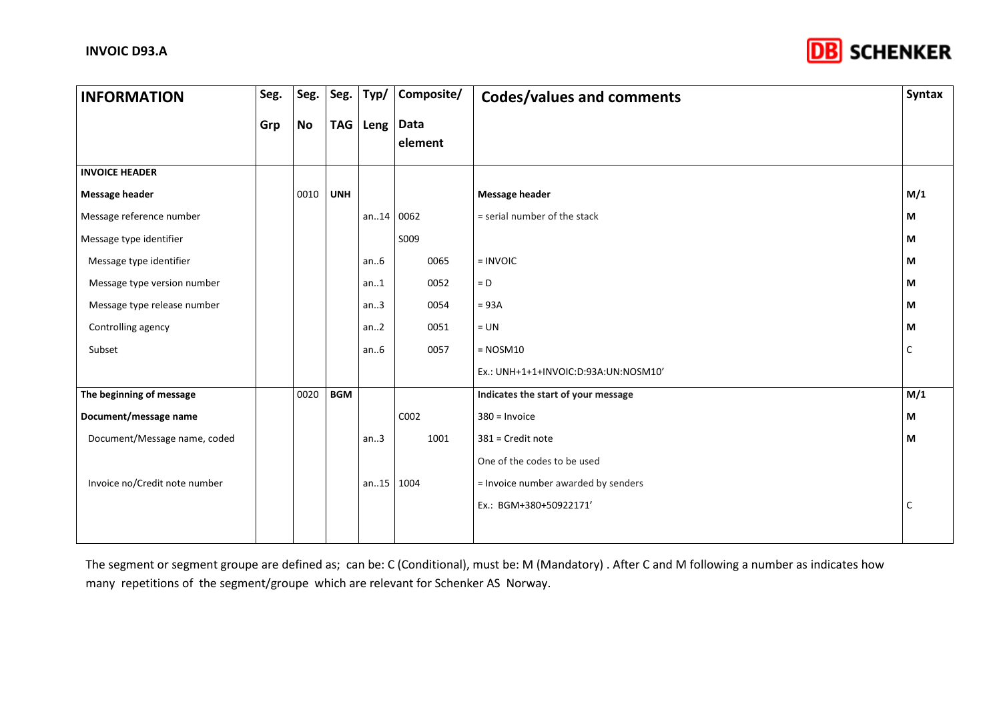

| <b>INFORMATION</b>            | Seg. | Seg.      | Seg.       | Typ/      | Composite/      | Codes/values and comments            | <b>Syntax</b> |
|-------------------------------|------|-----------|------------|-----------|-----------------|--------------------------------------|---------------|
|                               | Grp  | <b>No</b> | <b>TAG</b> | Leng      | Data<br>element |                                      |               |
| <b>INVOICE HEADER</b>         |      |           |            |           |                 |                                      |               |
| <b>Message header</b>         |      | 0010      | <b>UNH</b> |           |                 | <b>Message header</b>                | M/1           |
| Message reference number      |      |           |            | an.14     | 0062            | = serial number of the stack         | М             |
| Message type identifier       |      |           |            |           | S009            |                                      | М             |
| Message type identifier       |      |           |            | an.6      | 0065            | $=$ INVOIC                           | M             |
| Message type version number   |      |           |            | an.1      | 0052            | $= D$                                | М             |
| Message type release number   |      |           |            | an.3      | 0054            | $= 93A$                              | М             |
| Controlling agency            |      |           |            | an.2      | 0051            | $= UN$                               | М             |
| Subset                        |      |           |            | an.6      | 0057            | $=$ NOSM10                           | C             |
|                               |      |           |            |           |                 | Ex.: UNH+1+1+INVOIC:D:93A:UN:NOSM10' |               |
| The beginning of message      |      | 0020      | <b>BGM</b> |           |                 | Indicates the start of your message  | M/1           |
| Document/message name         |      |           |            |           | C002            | $380 =$ Invoice                      | М             |
| Document/Message name, coded  |      |           |            | an.3      | 1001            | 381 = Credit note                    | М             |
|                               |      |           |            |           |                 | One of the codes to be used          |               |
| Invoice no/Credit note number |      |           |            | an15 1004 |                 | = Invoice number awarded by senders  |               |
|                               |      |           |            |           |                 | Ex.: BGM+380+50922171'               | C             |
|                               |      |           |            |           |                 |                                      |               |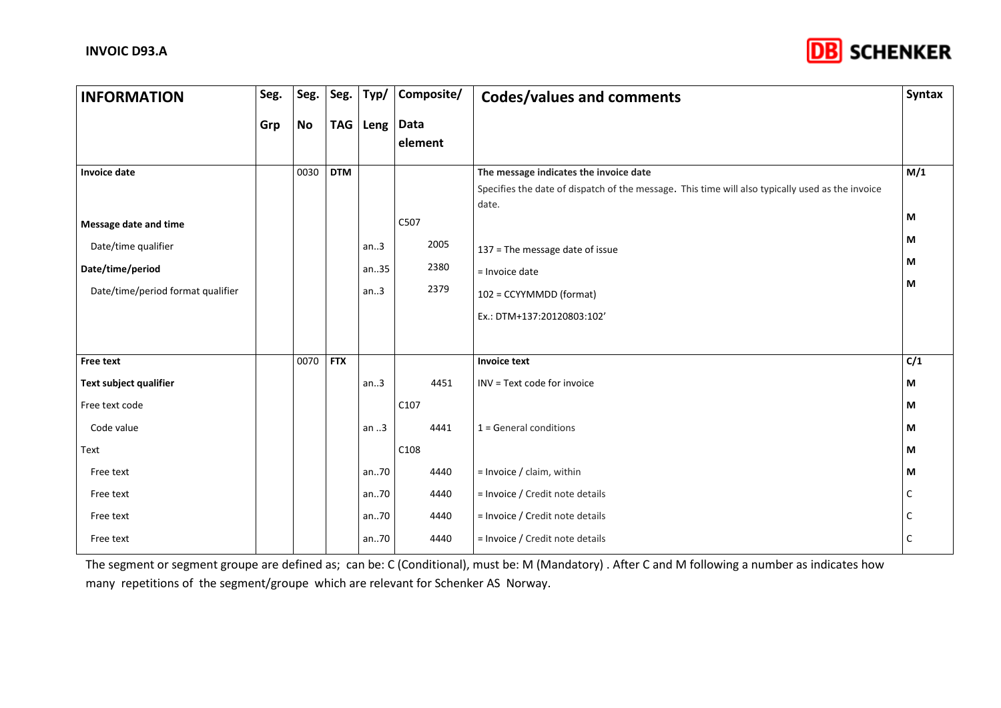

| <b>INFORMATION</b>                                                                                    | Seg. | Seg.      | Seg.       | Typ/                         | Composite/                   | <b>Codes/values and comments</b>                                                                                                                    | <b>Syntax</b>    |
|-------------------------------------------------------------------------------------------------------|------|-----------|------------|------------------------------|------------------------------|-----------------------------------------------------------------------------------------------------------------------------------------------------|------------------|
|                                                                                                       | Grp  | <b>No</b> |            | TAG   Leng   Data            | element                      |                                                                                                                                                     |                  |
| <b>Invoice date</b>                                                                                   |      | 0030      | <b>DTM</b> |                              |                              | The message indicates the invoice date<br>Specifies the date of dispatch of the message. This time will also typically used as the invoice<br>date. | M/1              |
| Message date and time<br>Date/time qualifier<br>Date/time/period<br>Date/time/period format qualifier |      |           |            | an.3<br>an35<br>an.3         | C507<br>2005<br>2380<br>2379 | 137 = The message date of issue<br>= Invoice date<br>102 = CCYYMMDD (format)<br>Ex.: DTM+137:20120803:102'                                          | M<br>М<br>М<br>М |
| <b>Free text</b>                                                                                      |      | 0070      | <b>FTX</b> |                              |                              | <b>Invoice text</b>                                                                                                                                 | C/1              |
| Text subject qualifier<br>Free text code<br>Code value<br>Text                                        |      |           |            | an.3<br>an .3                | 4451<br>C107<br>4441<br>C108 | INV = Text code for invoice<br>$1 =$ General conditions                                                                                             | М<br>М<br>М<br>М |
| Free text<br>Free text<br>Free text<br>Free text                                                      |      |           |            | an70<br>an70<br>an70<br>an70 | 4440<br>4440<br>4440<br>4440 | $=$ Invoice / claim, within<br>= Invoice / Credit note details<br>= Invoice / Credit note details<br>= Invoice / Credit note details                | М<br>C<br>C      |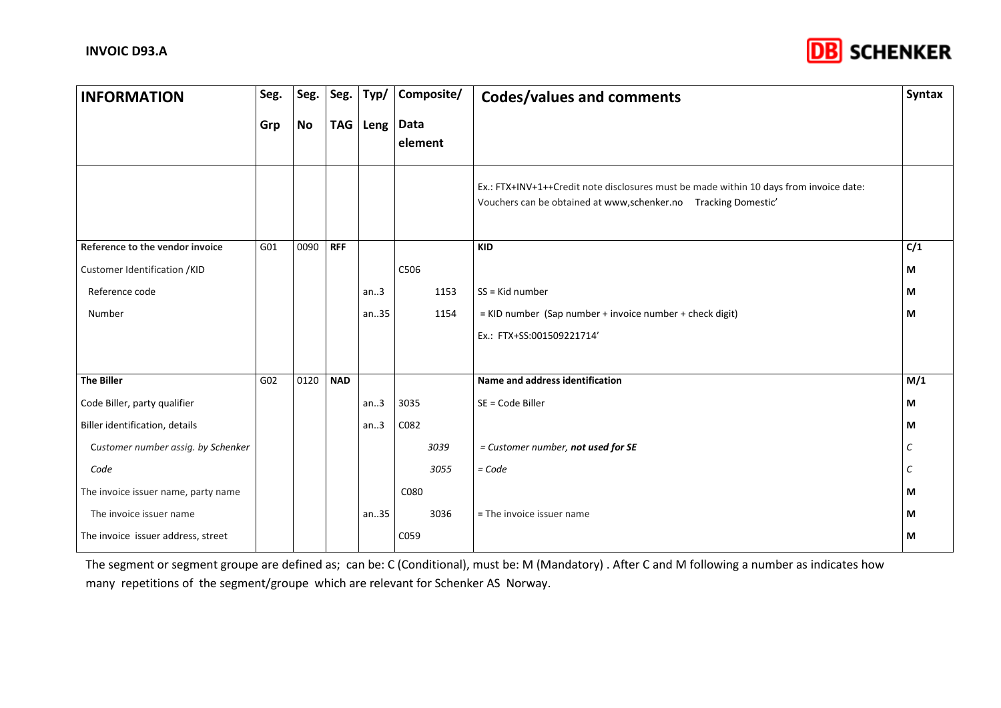

| <b>INFORMATION</b>                  | Seg. | Seg.      | Seg.       | Typ/     | Composite/      | <b>Codes/values and comments</b>                                                                                                                         | Syntax |
|-------------------------------------|------|-----------|------------|----------|-----------------|----------------------------------------------------------------------------------------------------------------------------------------------------------|--------|
|                                     | Grp  | <b>No</b> |            | TAG Leng | Data<br>element |                                                                                                                                                          |        |
|                                     |      |           |            |          |                 | Ex.: FTX+INV+1++Credit note disclosures must be made within 10 days from invoice date:<br>Vouchers can be obtained at www,schenker.no Tracking Domestic' |        |
| Reference to the vendor invoice     | G01  | 0090      | <b>RFF</b> |          |                 | <b>KID</b>                                                                                                                                               | C/1    |
| Customer Identification /KID        |      |           |            |          | C506            |                                                                                                                                                          | M      |
| Reference code                      |      |           |            | an.3     | 1153            | $SS =$ Kid number                                                                                                                                        | М      |
| Number                              |      |           |            | an35     | 1154            | = KID number (Sap number + invoice number + check digit)                                                                                                 | M      |
|                                     |      |           |            |          |                 | Ex.: FTX+SS:001509221714'                                                                                                                                |        |
|                                     |      |           |            |          |                 |                                                                                                                                                          |        |
| <b>The Biller</b>                   | G02  | 0120      | <b>NAD</b> |          |                 | Name and address identification                                                                                                                          | M/1    |
| Code Biller, party qualifier        |      |           |            | an.3     | 3035            | SE = Code Biller                                                                                                                                         | М      |
| Biller identification, details      |      |           |            | an.3     | C082            |                                                                                                                                                          | M      |
| Customer number assig. by Schenker  |      |           |            |          | 3039            | = Customer number, not used for SE                                                                                                                       | C      |
| Code                                |      |           |            |          | 3055            | $= Code$                                                                                                                                                 | C      |
| The invoice issuer name, party name |      |           |            |          | C080            |                                                                                                                                                          | м      |
| The invoice issuer name             |      |           |            | an35     | 3036            | = The invoice issuer name                                                                                                                                | М      |
| The invoice issuer address, street  |      |           |            |          | C059            |                                                                                                                                                          | M      |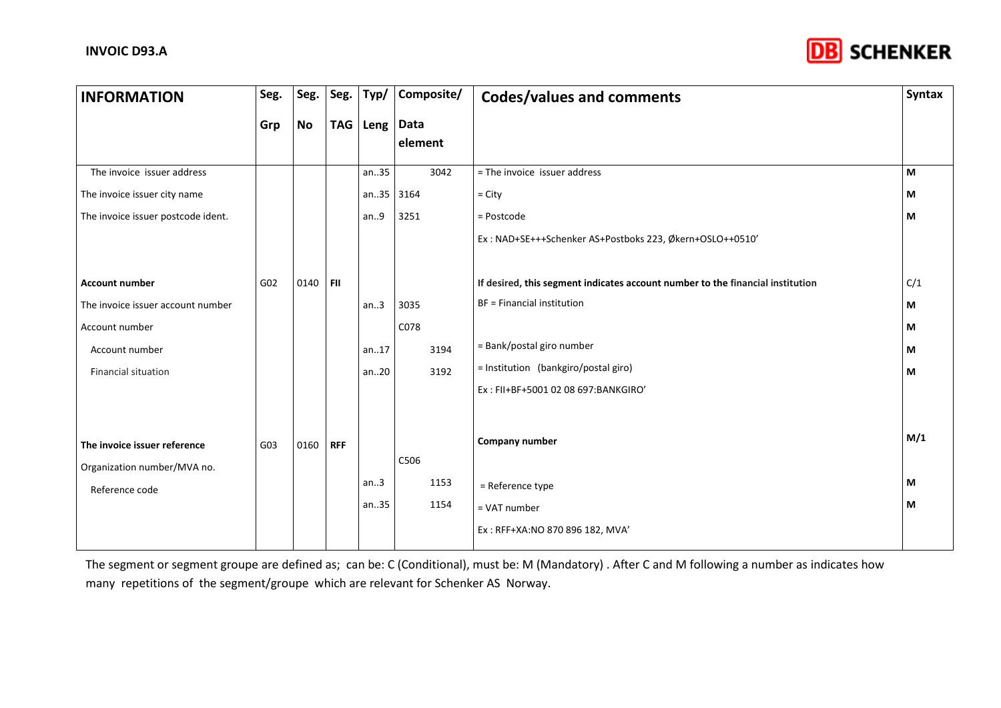

| <b>INFORMATION</b>                                          | Seg.            | Seg.      | Seg.       | Typ/     | Composite/      | <b>Codes/values and comments</b>                                               | <b>Syntax</b> |
|-------------------------------------------------------------|-----------------|-----------|------------|----------|-----------------|--------------------------------------------------------------------------------|---------------|
|                                                             | Grp             | <b>No</b> |            | TAG Leng | Data<br>element |                                                                                |               |
| The invoice issuer address                                  |                 |           |            | an35     | 3042            | = The invoice issuer address                                                   | М             |
| The invoice issuer city name                                |                 |           |            | an.35    | 3164            | $=$ City                                                                       | М             |
| The invoice issuer postcode ident.                          |                 |           |            | an.9     | 3251            | = Postcode                                                                     | М             |
|                                                             |                 |           |            |          |                 | Ex: NAD+SE+++Schenker AS+Postboks 223, Økern+OSLO++0510'                       |               |
|                                                             |                 |           |            |          |                 |                                                                                |               |
| <b>Account number</b>                                       | G <sub>02</sub> | 0140      | FII        |          |                 | If desired, this segment indicates account number to the financial institution | C/1           |
| The invoice issuer account number                           |                 |           |            | an.3     | 3035            | BF = Financial institution                                                     | М             |
| Account number                                              |                 |           |            |          | C078            |                                                                                | М             |
| Account number                                              |                 |           |            | an.17    | 3194            | = Bank/postal giro number                                                      | М             |
| Financial situation                                         |                 |           |            | an20     | 3192            | = Institution (bankgiro/postal giro)                                           | М             |
|                                                             |                 |           |            |          |                 | Ex: FII+BF+5001 02 08 697:BANKGIRO'                                            |               |
|                                                             |                 |           |            |          |                 |                                                                                |               |
| The invoice issuer reference<br>Organization number/MVA no. | G03             | 0160      | <b>RFF</b> |          | C506            | <b>Company number</b>                                                          | M/1           |
| Reference code                                              |                 |           |            | an.3     | 1153            | = Reference type                                                               | М             |
|                                                             |                 |           |            | an35     | 1154            | = VAT number                                                                   | М             |
|                                                             |                 |           |            |          |                 | Ex: RFF+XA:NO 870 896 182, MVA                                                 |               |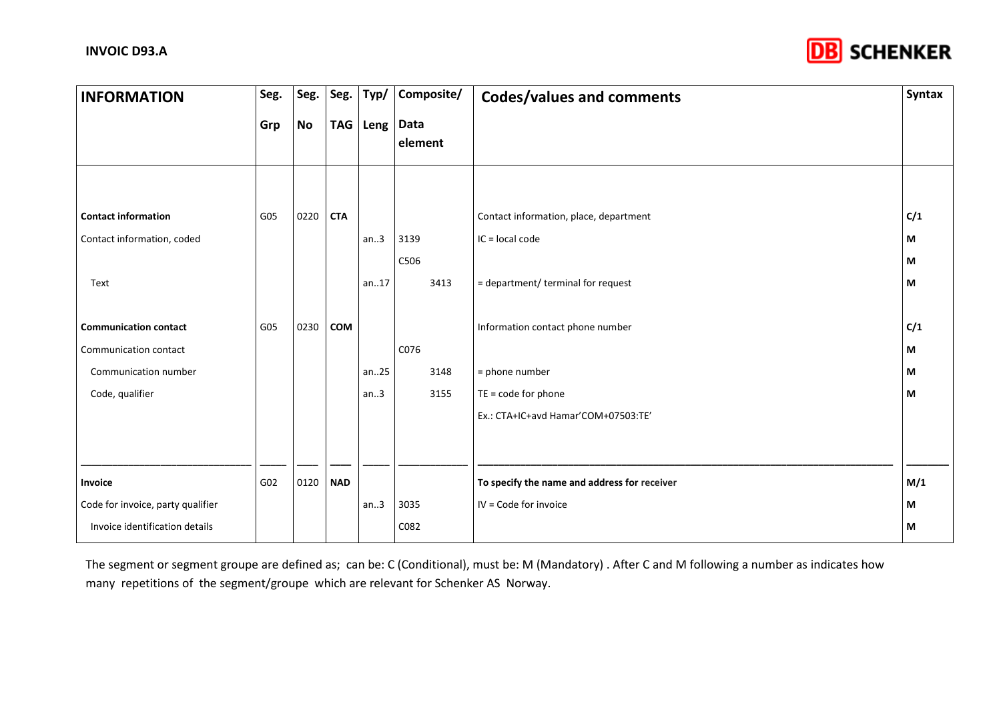

| <b>INFORMATION</b>                | Seg. | Seg.      | Seg.       | Typ/       | Composite/      | <b>Codes/values and comments</b>             | Syntax |
|-----------------------------------|------|-----------|------------|------------|-----------------|----------------------------------------------|--------|
|                                   | Grp  | <b>No</b> |            | TAG   Leng | Data<br>element |                                              |        |
|                                   |      |           |            |            |                 |                                              |        |
| <b>Contact information</b>        | G05  | 0220      | <b>CTA</b> |            |                 | Contact information, place, department       | C/1    |
| Contact information, coded        |      |           |            | an.3       | 3139            | IC = local code                              | М      |
|                                   |      |           |            |            | C506            |                                              | М      |
| Text                              |      |           |            | an.17      | 3413            | = department/ terminal for request           | M      |
|                                   |      |           |            |            |                 |                                              |        |
| <b>Communication contact</b>      | G05  | 0230      | COM        |            |                 | Information contact phone number             | C/1    |
| Communication contact             |      |           |            |            | C076            |                                              | M      |
| Communication number              |      |           |            | an25       | 3148            | = phone number                               | М      |
| Code, qualifier                   |      |           |            | an.3       | 3155            | $TE = code for phone$                        | M      |
|                                   |      |           |            |            |                 | Ex.: CTA+IC+avd Hamar'COM+07503:TE'          |        |
|                                   |      |           |            |            |                 |                                              |        |
| Invoice                           | G02  | 0120      | <b>NAD</b> |            |                 | To specify the name and address for receiver | M/1    |
| Code for invoice, party qualifier |      |           |            | an.3       | 3035            | IV = Code for invoice                        | M      |
| Invoice identification details    |      |           |            |            | C082            |                                              | M      |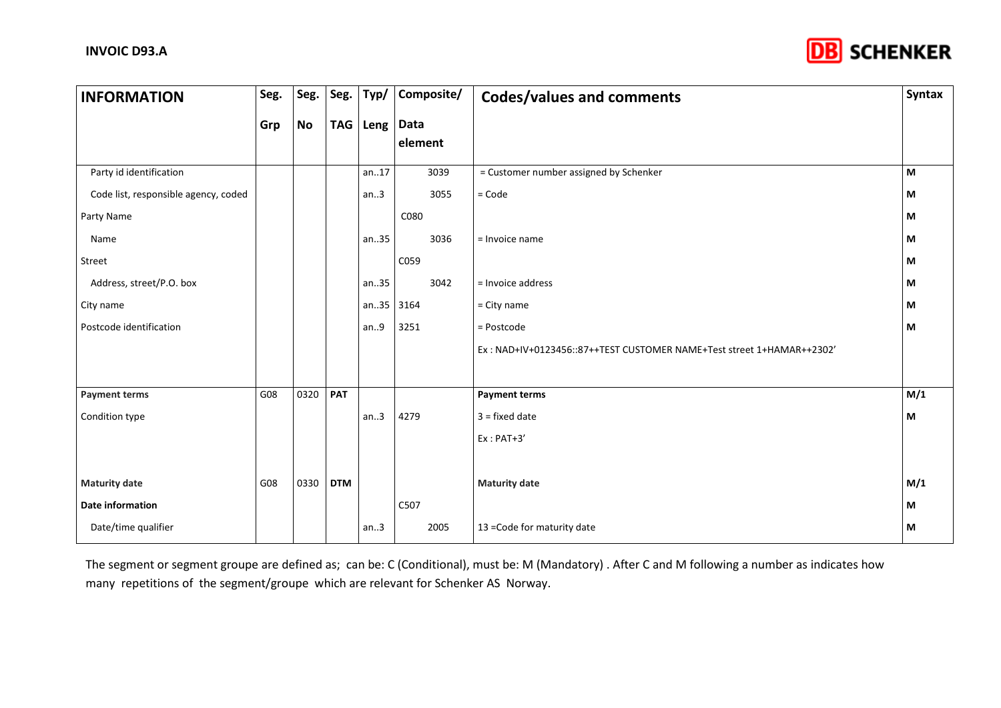

| <b>INFORMATION</b>                   | Seg. | Seg.      | Seg. $ $   | Typ/       | Composite/      | <b>Codes/values and comments</b>                                      | Syntax |
|--------------------------------------|------|-----------|------------|------------|-----------------|-----------------------------------------------------------------------|--------|
|                                      | Grp  | <b>No</b> |            | TAG   Leng | Data<br>element |                                                                       |        |
| Party id identification              |      |           |            | an.17      | 3039            | = Customer number assigned by Schenker                                | M      |
| Code list, responsible agency, coded |      |           |            | an.3       | 3055            | $=$ Code                                                              | М      |
| Party Name                           |      |           |            |            | C080            |                                                                       | М      |
| Name                                 |      |           |            | an35       | 3036            | = Invoice name                                                        | М      |
| Street                               |      |           |            |            | C059            |                                                                       | М      |
| Address, street/P.O. box             |      |           |            | an35       | 3042            | = Invoice address                                                     | М      |
| City name                            |      |           |            | an.35      | 3164            | $=$ City name                                                         | М      |
| Postcode identification              |      |           |            | an.9       | 3251            | = Postcode                                                            | М      |
|                                      |      |           |            |            |                 | Ex: NAD+IV+0123456::87++TEST CUSTOMER NAME+Test street 1+HAMAR++2302' |        |
|                                      |      |           |            |            |                 |                                                                       |        |
| <b>Payment terms</b>                 | G08  | 0320      | PAT        |            |                 | <b>Payment terms</b>                                                  | M/1    |
| Condition type                       |      |           |            | an.3       | 4279            | $3 = fixed date$                                                      | М      |
|                                      |      |           |            |            |                 | $Ex:PAT+3'$                                                           |        |
|                                      |      |           |            |            |                 |                                                                       |        |
| <b>Maturity date</b>                 | G08  | 0330      | <b>DTM</b> |            |                 | <b>Maturity date</b>                                                  | M/1    |
| <b>Date information</b>              |      |           |            |            | C507            |                                                                       | М      |
| Date/time qualifier                  |      |           |            | an.3       | 2005            | 13 = Code for maturity date                                           | М      |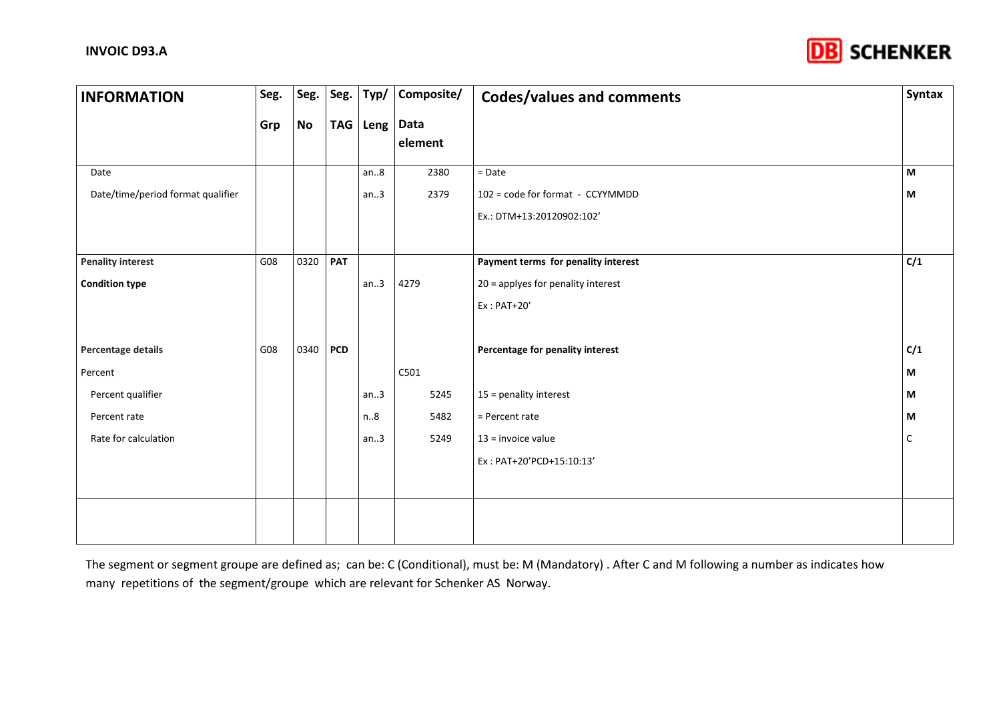

| <b>INFORMATION</b>                | Seg. | Seg.      | Seg.       | Typ/       | Composite/      | <b>Codes/values and comments</b>     | Syntax |
|-----------------------------------|------|-----------|------------|------------|-----------------|--------------------------------------|--------|
|                                   | Grp  | <b>No</b> |            | TAG   Leng | Data<br>element |                                      |        |
| Date                              |      |           |            | an.8       | 2380            | $=$ Date                             | M      |
| Date/time/period format qualifier |      |           |            | an.3       | 2379            | 102 = code for format - CCYYMMDD     | М      |
|                                   |      |           |            |            |                 | Ex.: DTM+13:20120902:102'            |        |
|                                   |      |           |            |            |                 |                                      |        |
| <b>Penality interest</b>          | G08  | 0320      | <b>PAT</b> |            |                 | Payment terms for penality interest  | C/1    |
| <b>Condition type</b>             |      |           |            | an.3       | 4279            | $20$ = applyes for penality interest |        |
|                                   |      |           |            |            |                 | $Ex:PAT+20'$                         |        |
|                                   |      |           |            |            |                 |                                      |        |
| Percentage details                | G08  | 0340      | <b>PCD</b> |            |                 | Percentage for penality interest     | C/1    |
| Percent                           |      |           |            |            | C501            |                                      | М      |
| Percent qualifier                 |      |           |            | an.3       | 5245            | 15 = penality interest               | M      |
| Percent rate                      |      |           |            | n.8        | 5482            | = Percent rate                       | М      |
| Rate for calculation              |      |           |            | an.3       | 5249            | $13$ = invoice value                 | C      |
|                                   |      |           |            |            |                 | Ex: PAT+20'PCD+15:10:13'             |        |
|                                   |      |           |            |            |                 |                                      |        |
|                                   |      |           |            |            |                 |                                      |        |
|                                   |      |           |            |            |                 |                                      |        |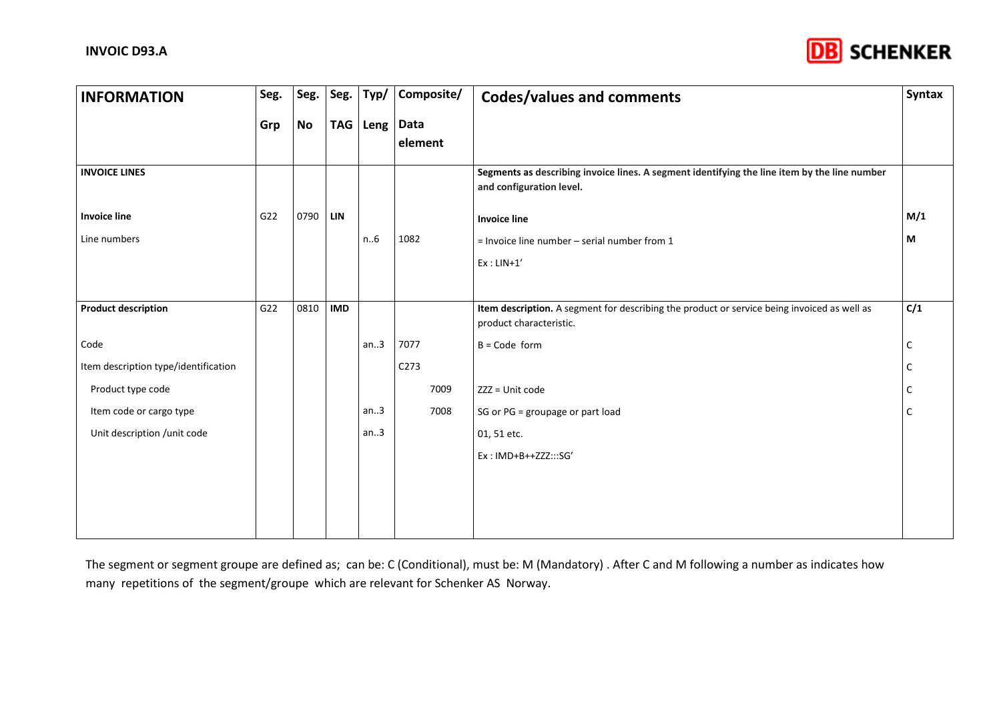

| <b>INFORMATION</b>                   | Seg. | Seg.      | Seg.       | Typ/       | Composite/       | <b>Codes/values and comments</b>                                                                                         | <b>Syntax</b> |
|--------------------------------------|------|-----------|------------|------------|------------------|--------------------------------------------------------------------------------------------------------------------------|---------------|
|                                      | Grp  | <b>No</b> |            | TAG   Leng | Data<br>element  |                                                                                                                          |               |
| <b>INVOICE LINES</b>                 |      |           |            |            |                  | Segments as describing invoice lines. A segment identifying the line item by the line number<br>and configuration level. |               |
| <b>Invoice line</b>                  | G22  | 0790      | <b>LIN</b> |            |                  | <b>Invoice line</b>                                                                                                      | M/1           |
| Line numbers                         |      |           |            | n6         | 1082             | $=$ Invoice line number $-$ serial number from 1                                                                         | М             |
|                                      |      |           |            |            |                  | $Ex: LIN+1'$                                                                                                             |               |
|                                      |      |           |            |            |                  |                                                                                                                          |               |
| <b>Product description</b>           | G22  | 0810      | <b>IMD</b> |            |                  | Item description. A segment for describing the product or service being invoiced as well as<br>product characteristic.   | C/1           |
| Code                                 |      |           |            | an.3       | 7077             | $B = Code form$                                                                                                          | C             |
| Item description type/identification |      |           |            |            | C <sub>273</sub> |                                                                                                                          | C             |
| Product type code                    |      |           |            |            | 7009             | ZZZ = Unit code                                                                                                          | с             |
| Item code or cargo type              |      |           |            | an.3       | 7008             | SG or PG = groupage or part load                                                                                         | C             |
| Unit description /unit code          |      |           |            | an.3       |                  | 01, 51 etc.                                                                                                              |               |
|                                      |      |           |            |            |                  | Ex: IMD+B++ZZZ:::SG'                                                                                                     |               |
|                                      |      |           |            |            |                  |                                                                                                                          |               |
|                                      |      |           |            |            |                  |                                                                                                                          |               |
|                                      |      |           |            |            |                  |                                                                                                                          |               |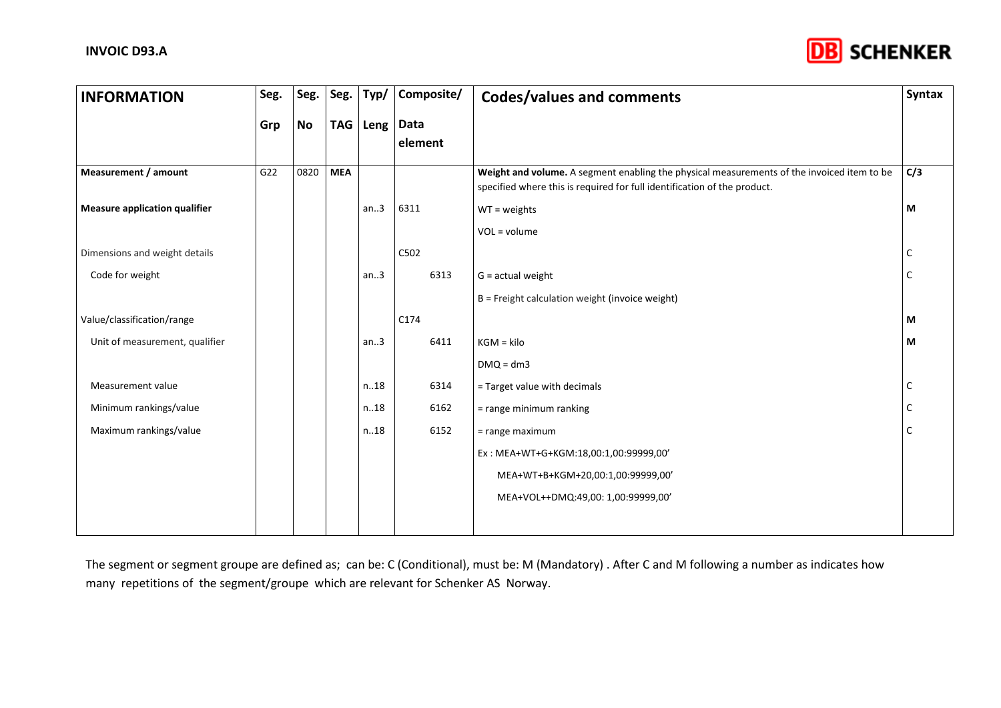

| <b>INFORMATION</b>             | Seg.            | Seg.      | Seg.       | Typ/     | Composite/ | <b>Codes/values and comments</b>                                                                                                                                       | <b>Syntax</b> |
|--------------------------------|-----------------|-----------|------------|----------|------------|------------------------------------------------------------------------------------------------------------------------------------------------------------------------|---------------|
|                                | Grp             | <b>No</b> |            | TAG Leng | Data       |                                                                                                                                                                        |               |
|                                |                 |           |            |          | element    |                                                                                                                                                                        |               |
|                                |                 |           |            |          |            |                                                                                                                                                                        |               |
| Measurement / amount           | G <sub>22</sub> | 0820      | <b>MEA</b> |          |            | Weight and volume. A segment enabling the physical measurements of the invoiced item to be<br>specified where this is required for full identification of the product. | C/3           |
|                                |                 |           |            |          |            |                                                                                                                                                                        |               |
| Measure application qualifier  |                 |           |            | an.3     | 6311       | $WT = weights$                                                                                                                                                         | M             |
|                                |                 |           |            |          |            | $VOL = volume$                                                                                                                                                         |               |
| Dimensions and weight details  |                 |           |            |          | C502       |                                                                                                                                                                        | C             |
| Code for weight                |                 |           |            | an.3     | 6313       | $G = actual weight$                                                                                                                                                    | C             |
|                                |                 |           |            |          |            | B = Freight calculation weight (invoice weight)                                                                                                                        |               |
| Value/classification/range     |                 |           |            |          | C174       |                                                                                                                                                                        | M             |
| Unit of measurement, qualifier |                 |           |            | an.3     | 6411       | $KGM = kilo$                                                                                                                                                           | M             |
|                                |                 |           |            |          |            | $DMQ = dm3$                                                                                                                                                            |               |
| Measurement value              |                 |           |            | n.18     | 6314       | $=$ Target value with decimals                                                                                                                                         | C             |
| Minimum rankings/value         |                 |           |            | n.18     | 6162       | = range minimum ranking                                                                                                                                                | C             |
| Maximum rankings/value         |                 |           |            | n.18     | 6152       | = range maximum                                                                                                                                                        | C             |
|                                |                 |           |            |          |            | Ex: MEA+WT+G+KGM:18,00:1,00:99999,00'                                                                                                                                  |               |
|                                |                 |           |            |          |            | MEA+WT+B+KGM+20,00:1,00:99999,00'                                                                                                                                      |               |
|                                |                 |           |            |          |            | MEA+VOL++DMQ:49,00: 1,00:99999,00'                                                                                                                                     |               |
|                                |                 |           |            |          |            |                                                                                                                                                                        |               |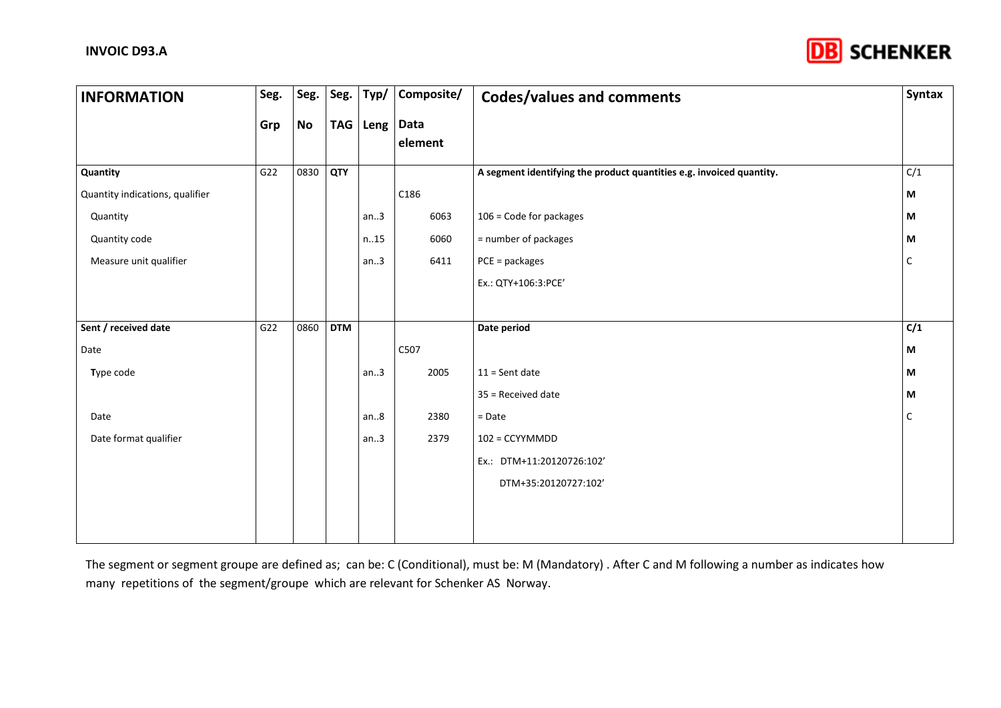

| <b>INFORMATION</b>              | Seg. | Seg.      | Seg.       | Typ/       | Composite/      | <b>Codes/values and comments</b>                                     | Syntax |
|---------------------------------|------|-----------|------------|------------|-----------------|----------------------------------------------------------------------|--------|
|                                 | Grp  | <b>No</b> |            | TAG   Leng | Data<br>element |                                                                      |        |
|                                 |      |           |            |            |                 |                                                                      |        |
| Quantity                        | G22  | 0830      | QTY        |            |                 | A segment identifying the product quantities e.g. invoiced quantity. | C/1    |
| Quantity indications, qualifier |      |           |            |            | C186            |                                                                      | M      |
| Quantity                        |      |           |            | an.3       | 6063            | 106 = Code for packages                                              | M      |
| Quantity code                   |      |           |            | n.15       | 6060            | = number of packages                                                 | M      |
| Measure unit qualifier          |      |           |            | an.3       | 6411            | $PCE = package$ s                                                    | C      |
|                                 |      |           |            |            |                 | Ex.: QTY+106:3:PCE'                                                  |        |
|                                 |      |           |            |            |                 |                                                                      |        |
| Sent / received date            | G22  | 0860      | <b>DTM</b> |            |                 | Date period                                                          | C/1    |
| Date                            |      |           |            |            | C507            |                                                                      | M      |
| Type code                       |      |           |            | an.3       | 2005            | $11 =$ Sent date                                                     | M      |
|                                 |      |           |            |            |                 | 35 = Received date                                                   | M      |
| Date                            |      |           |            | an.8       | 2380            | $=$ Date                                                             | C      |
| Date format qualifier           |      |           |            | an.3       | 2379            | 102 = CCYYMMDD                                                       |        |
|                                 |      |           |            |            |                 | Ex.: DTM+11:20120726:102'                                            |        |
|                                 |      |           |            |            |                 | DTM+35:20120727:102'                                                 |        |
|                                 |      |           |            |            |                 |                                                                      |        |
|                                 |      |           |            |            |                 |                                                                      |        |
|                                 |      |           |            |            |                 |                                                                      |        |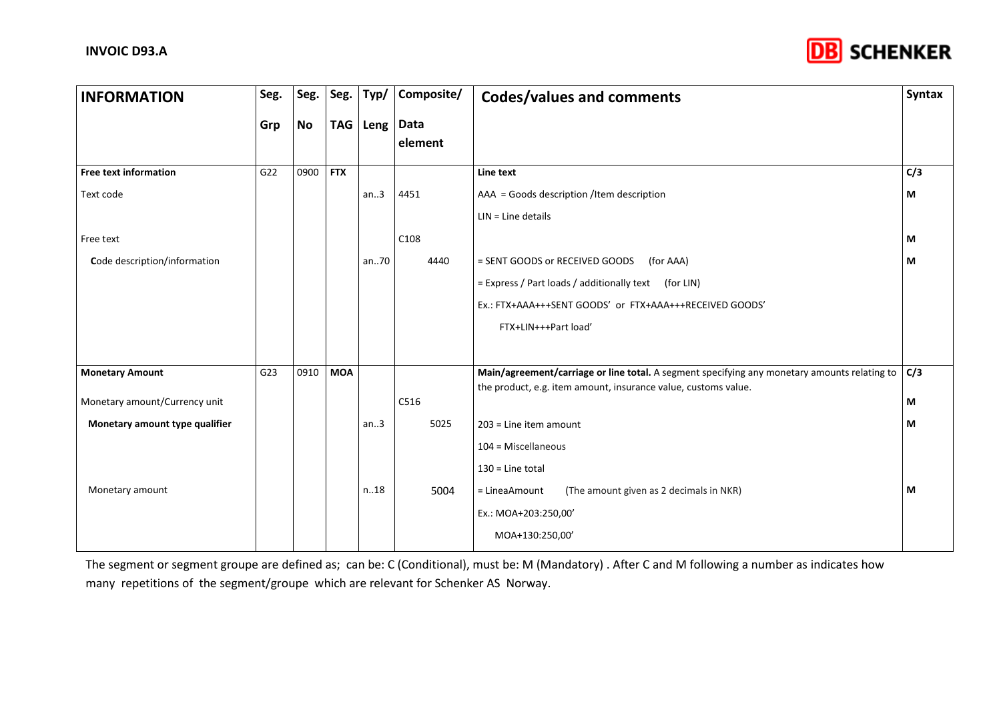

| <b>INFORMATION</b>             | Seg. | Seg.      | Seg.       | Typ/              | Composite/ | <b>Codes/values and comments</b>                                                             | <b>Syntax</b> |
|--------------------------------|------|-----------|------------|-------------------|------------|----------------------------------------------------------------------------------------------|---------------|
|                                | Grp  | <b>No</b> |            | TAG   Leng   Data | element    |                                                                                              |               |
| <b>Free text information</b>   | G22  | 0900      | <b>FTX</b> |                   |            | Line text                                                                                    | C/3           |
| Text code                      |      |           |            | an.3              | 4451       | AAA = Goods description /Item description                                                    | М             |
|                                |      |           |            |                   |            | $LIN = Line details$                                                                         |               |
| Free text                      |      |           |            |                   | C108       |                                                                                              | M             |
| Code description/information   |      |           |            | an70              | 4440       | = SENT GOODS or RECEIVED GOODS<br>(for AAA)                                                  | M             |
|                                |      |           |            |                   |            | = Express / Part loads / additionally text (for LIN)                                         |               |
|                                |      |           |            |                   |            | Ex.: FTX+AAA+++SENT GOODS' or FTX+AAA+++RECEIVED GOODS'                                      |               |
|                                |      |           |            |                   |            | FTX+LIN+++Part load'                                                                         |               |
|                                |      |           |            |                   |            |                                                                                              |               |
| <b>Monetary Amount</b>         | G23  | 0910      | <b>MOA</b> |                   |            | Main/agreement/carriage or line total. A segment specifying any monetary amounts relating to | C/3           |
| Monetary amount/Currency unit  |      |           |            |                   | C516       | the product, e.g. item amount, insurance value, customs value.                               | M             |
| Monetary amount type qualifier |      |           |            | an.3              | 5025       | $203$ = Line item amount                                                                     | M             |
|                                |      |           |            |                   |            | $104$ = Miscellaneous                                                                        |               |
|                                |      |           |            |                   |            | $130$ = Line total                                                                           |               |
| Monetary amount                |      |           |            | n.18              | 5004       | (The amount given as 2 decimals in NKR)<br>= LineaAmount                                     | М             |
|                                |      |           |            |                   |            |                                                                                              |               |
|                                |      |           |            |                   |            | Ex.: MOA+203:250,00'                                                                         |               |
|                                |      |           |            |                   |            | MOA+130:250,00'                                                                              |               |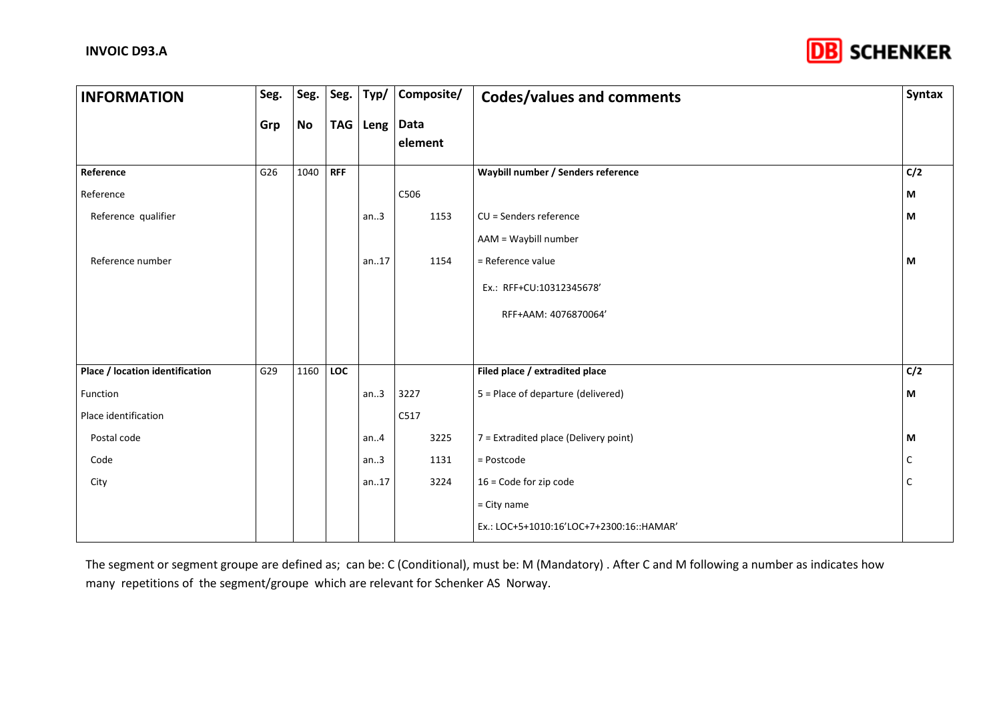

| <b>INFORMATION</b>              | Seg. | Seg.      | Seg.       | Typ/              | Composite/ | <b>Codes/values and comments</b>          | Syntax |
|---------------------------------|------|-----------|------------|-------------------|------------|-------------------------------------------|--------|
|                                 | Grp  | <b>No</b> |            | TAG   Leng   Data | element    |                                           |        |
|                                 |      |           |            |                   |            |                                           |        |
| Reference                       | G26  | 1040      | <b>RFF</b> |                   |            | Waybill number / Senders reference        | C/2    |
| Reference                       |      |           |            |                   | C506       |                                           | М      |
| Reference qualifier             |      |           |            | an.3              | 1153       | CU = Senders reference                    | M      |
|                                 |      |           |            |                   |            | AAM = Waybill number                      |        |
| Reference number                |      |           |            | an.17             | 1154       | = Reference value                         | M      |
|                                 |      |           |            |                   |            | Ex.: RFF+CU:10312345678'                  |        |
|                                 |      |           |            |                   |            | RFF+AAM: 4076870064'                      |        |
|                                 |      |           |            |                   |            |                                           |        |
|                                 |      |           |            |                   |            |                                           |        |
| Place / location identification | G29  | 1160      | LOC        |                   |            | Filed place / extradited place            | C/2    |
| Function                        |      |           |            | an.3              | 3227       | 5 = Place of departure (delivered)        | M      |
| Place identification            |      |           |            |                   | C517       |                                           |        |
| Postal code                     |      |           |            | an.4              | 3225       | 7 = Extradited place (Delivery point)     | М      |
| Code                            |      |           |            | an.3              | 1131       | = Postcode                                | С      |
| City                            |      |           |            | an.17             | 3224       | $16$ = Code for zip code                  | C      |
|                                 |      |           |            |                   |            | $=$ City name                             |        |
|                                 |      |           |            |                   |            | Ex.: LOC+5+1010:16'LOC+7+2300:16:: HAMAR' |        |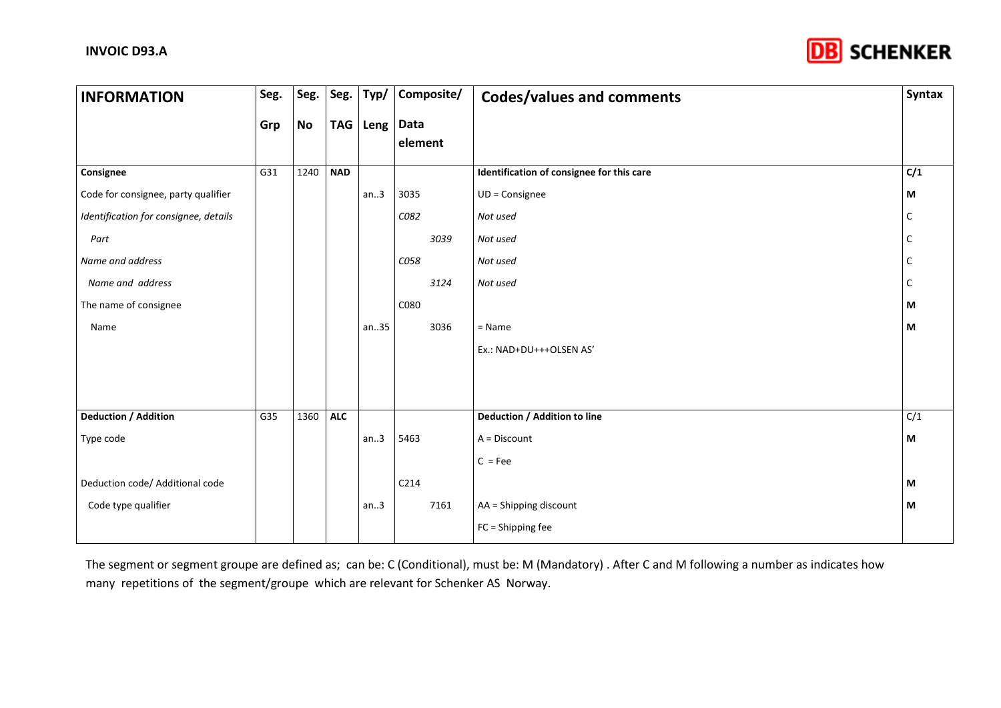

| <b>INFORMATION</b>                    | Seg. | Seg.      | Seg. $ $   | Typ/       | Composite/ | <b>Codes/values and comments</b>          | Syntax |
|---------------------------------------|------|-----------|------------|------------|------------|-------------------------------------------|--------|
|                                       | Grp  | <b>No</b> |            | TAG   Leng | Data       |                                           |        |
|                                       |      |           |            |            | element    |                                           |        |
| Consignee                             | G31  | 1240      | <b>NAD</b> |            |            | Identification of consignee for this care | C/1    |
| Code for consignee, party qualifier   |      |           |            | an.3       | 3035       | $UD = Consider$                           | М      |
| Identification for consignee, details |      |           |            |            | C082       | Not used                                  | с      |
| Part                                  |      |           |            |            | 3039       | Not used                                  |        |
| Name and address                      |      |           |            |            | C058       | Not used                                  | C      |
| Name and address                      |      |           |            |            | 3124       | Not used                                  | C      |
| The name of consignee                 |      |           |            |            | C080       |                                           | М      |
| Name                                  |      |           |            | an35       | 3036       | $=$ Name                                  | М      |
|                                       |      |           |            |            |            | Ex.: NAD+DU+++OLSEN AS'                   |        |
|                                       |      |           |            |            |            |                                           |        |
|                                       |      |           |            |            |            |                                           |        |
| <b>Deduction / Addition</b>           | G35  | 1360      | <b>ALC</b> |            |            | Deduction / Addition to line              | C/1    |
| Type code                             |      |           |            | an.3       | 5463       | A = Discount                              | М      |
|                                       |      |           |            |            |            | $C = Fee$                                 |        |
| Deduction code/ Additional code       |      |           |            |            | C214       |                                           | М      |
| Code type qualifier                   |      |           |            | an.3       | 7161       | AA = Shipping discount                    | М      |
|                                       |      |           |            |            |            | FC = Shipping fee                         |        |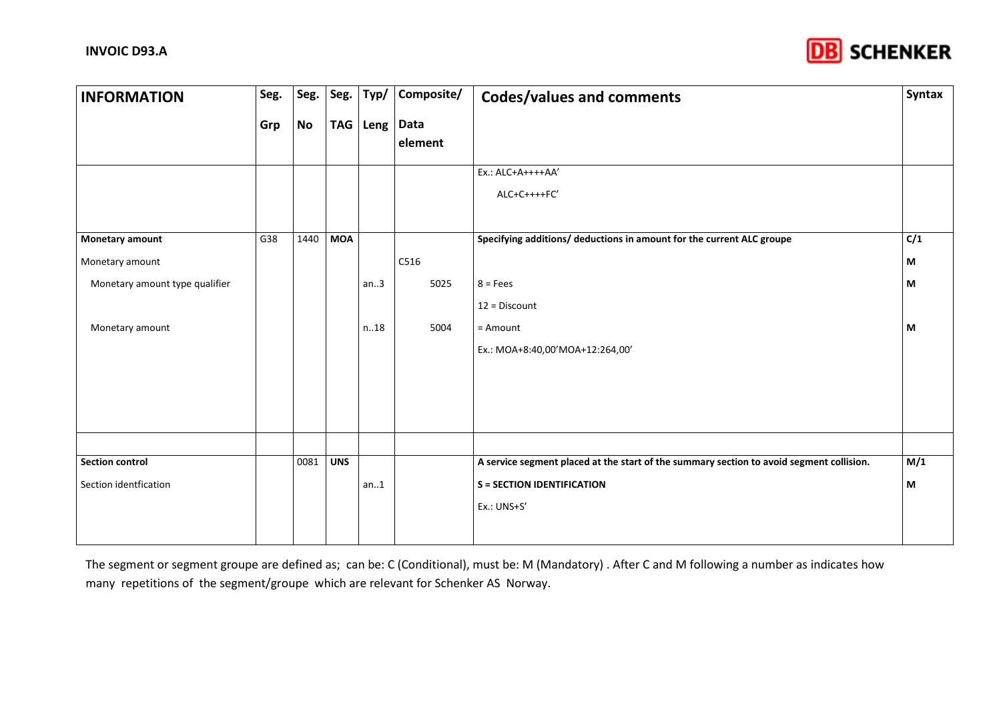

| <b>INFORMATION</b>             | Seg. | Seg.      |            | Seg. $\vert$ Typ/ | Composite/      | <b>Codes/values and comments</b>                                                         | Syntax |
|--------------------------------|------|-----------|------------|-------------------|-----------------|------------------------------------------------------------------------------------------|--------|
|                                | Grp  | <b>No</b> |            | TAG   Leng        | Data<br>element |                                                                                          |        |
|                                |      |           |            |                   |                 | Ex.: ALC+A++++AA'<br>ALC+C++++FC'                                                        |        |
| <b>Monetary amount</b>         | G38  | 1440      | <b>MOA</b> |                   |                 | Specifying additions/ deductions in amount for the current ALC groupe                    | C/1    |
| Monetary amount                |      |           |            |                   | C516            |                                                                                          | M      |
| Monetary amount type qualifier |      |           |            | an.3              | 5025            | $8 = Fees$                                                                               | M      |
|                                |      |           |            |                   |                 | $12 = Discount$                                                                          |        |
| Monetary amount                |      |           |            | n.18              | 5004            | = Amount                                                                                 | M      |
|                                |      |           |            |                   |                 | Ex.: MOA+8:40,00'MOA+12:264,00'                                                          |        |
|                                |      |           |            |                   |                 |                                                                                          |        |
|                                |      |           |            |                   |                 |                                                                                          |        |
|                                |      |           |            |                   |                 |                                                                                          |        |
|                                |      |           |            |                   |                 |                                                                                          |        |
| <b>Section control</b>         |      | 0081      | <b>UNS</b> |                   |                 | A service segment placed at the start of the summary section to avoid segment collision. | M/1    |
| Section identfication          |      |           |            | an.1              |                 | <b>S = SECTION IDENTIFICATION</b>                                                        | M      |
|                                |      |           |            |                   |                 | Ex.: UNS+S'                                                                              |        |
|                                |      |           |            |                   |                 |                                                                                          |        |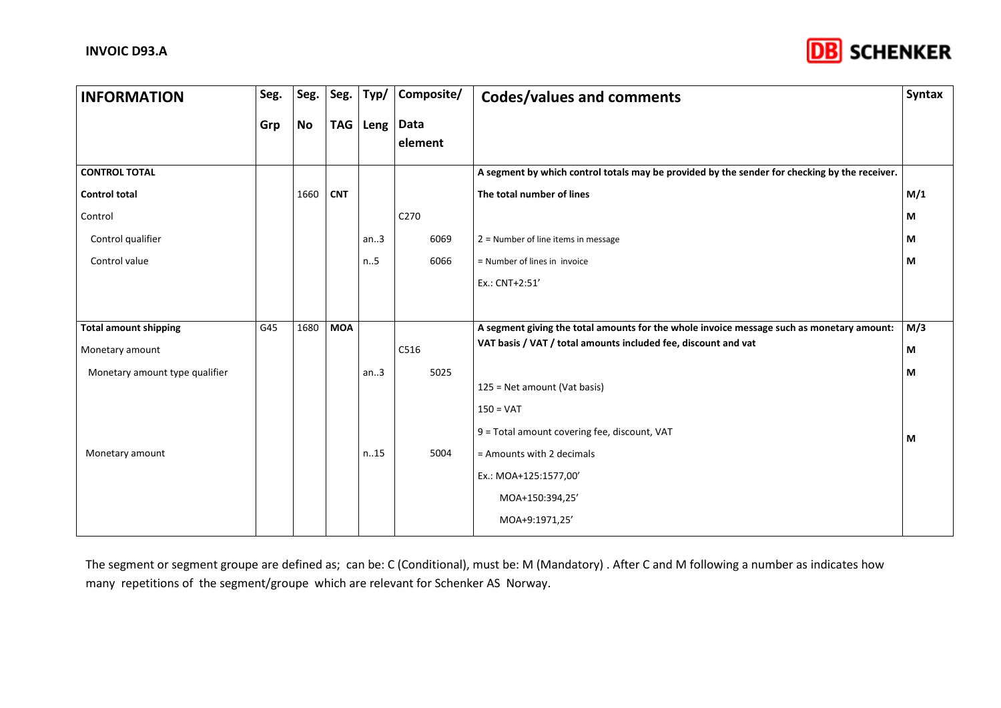

| <b>INFORMATION</b>             | Seg. | Seg.      | Seg.       | Typ/       | Composite/       | <b>Codes/values and comments</b>                                                              | <b>Syntax</b> |
|--------------------------------|------|-----------|------------|------------|------------------|-----------------------------------------------------------------------------------------------|---------------|
|                                | Grp  | <b>No</b> |            | TAG   Leng | Data<br>element  |                                                                                               |               |
| <b>CONTROL TOTAL</b>           |      |           |            |            |                  | A segment by which control totals may be provided by the sender for checking by the receiver. |               |
| <b>Control total</b>           |      | 1660      | <b>CNT</b> |            |                  | The total number of lines                                                                     | M/1           |
| Control                        |      |           |            |            | C <sub>270</sub> |                                                                                               | М             |
| Control qualifier              |      |           |            | an.3       | 6069             | $2$ = Number of line items in message                                                         | М             |
| Control value                  |      |           |            | n.5        | 6066             | = Number of lines in invoice                                                                  | М             |
|                                |      |           |            |            |                  | Ex.: CNT+2:51'                                                                                |               |
|                                |      |           |            |            |                  |                                                                                               |               |
| <b>Total amount shipping</b>   | G45  | 1680      | <b>MOA</b> |            |                  | A segment giving the total amounts for the whole invoice message such as monetary amount:     | M/3           |
| Monetary amount                |      |           |            |            | C516             | VAT basis / VAT / total amounts included fee, discount and vat                                | М             |
| Monetary amount type qualifier |      |           |            | an.3       | 5025             |                                                                                               | М             |
|                                |      |           |            |            |                  | 125 = Net amount (Vat basis)                                                                  |               |
|                                |      |           |            |            |                  | $150 = \text{VAT}$                                                                            |               |
|                                |      |           |            |            |                  | 9 = Total amount covering fee, discount, VAT                                                  | M             |
| Monetary amount                |      |           |            | n.15       | 5004             | = Amounts with 2 decimals                                                                     |               |
|                                |      |           |            |            |                  | Ex.: MOA+125:1577,00'                                                                         |               |
|                                |      |           |            |            |                  | MOA+150:394,25'                                                                               |               |
|                                |      |           |            |            |                  | MOA+9:1971,25'                                                                                |               |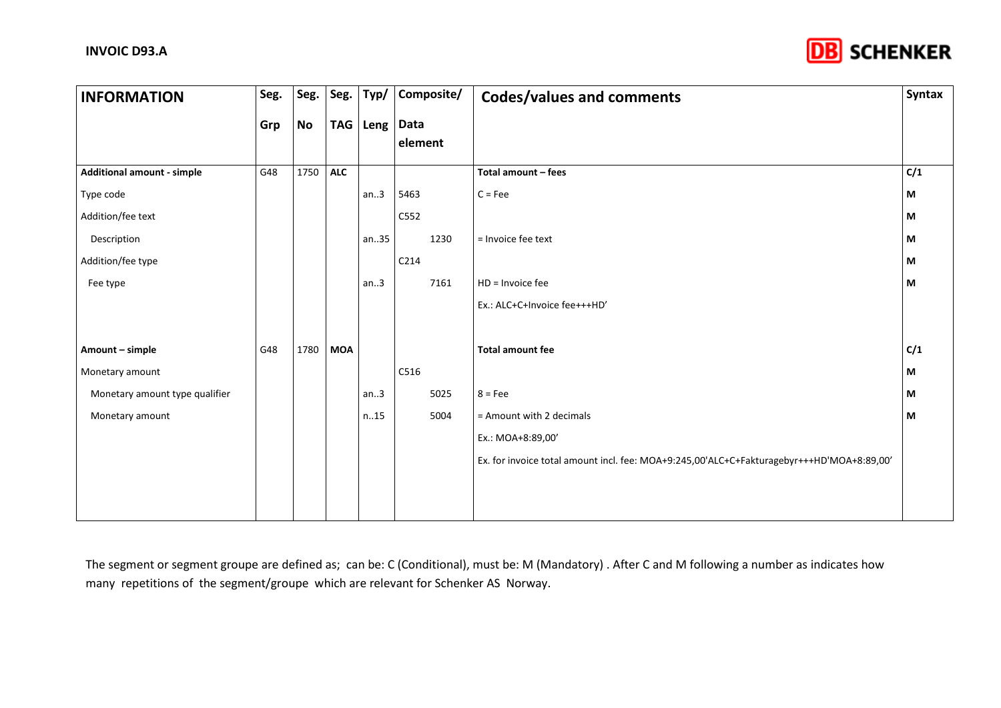

| <b>INFORMATION</b>                | Seg. | Seg. | Seg.       | Typ/  | Composite/             | <b>Codes/values and comments</b>                                                          | Syntax |
|-----------------------------------|------|------|------------|-------|------------------------|-------------------------------------------------------------------------------------------|--------|
|                                   | Grp  | No   | <b>TAG</b> |       | Leng   Data<br>element |                                                                                           |        |
| <b>Additional amount - simple</b> | G48  | 1750 | <b>ALC</b> |       |                        | Total amount - fees                                                                       | C/1    |
| Type code                         |      |      |            | an.3  | 5463                   | $C = Fee$                                                                                 | М      |
| Addition/fee text                 |      |      |            |       | C552                   |                                                                                           | M      |
| Description                       |      |      |            | an.35 | 1230                   | = Invoice fee text                                                                        | M      |
| Addition/fee type                 |      |      |            |       | C214                   |                                                                                           | M      |
| Fee type                          |      |      |            | an.3  | 7161                   | $HD = Invoice fee$                                                                        | M      |
|                                   |      |      |            |       |                        | Ex.: ALC+C+Invoice fee+++HD'                                                              |        |
|                                   |      |      |            |       |                        |                                                                                           |        |
| Amount - simple                   | G48  | 1780 | <b>MOA</b> |       |                        | <b>Total amount fee</b>                                                                   | C/1    |
| Monetary amount                   |      |      |            |       | C516                   |                                                                                           | М      |
| Monetary amount type qualifier    |      |      |            | an.3  | 5025                   | $8 = Fee$                                                                                 | М      |
| Monetary amount                   |      |      |            | n.15  | 5004                   | = Amount with 2 decimals                                                                  | М      |
|                                   |      |      |            |       |                        | Ex.: MOA+8:89,00'                                                                         |        |
|                                   |      |      |            |       |                        | Ex. for invoice total amount incl. fee: MOA+9:245,00'ALC+C+Fakturagebyr+++HD'MOA+8:89,00' |        |
|                                   |      |      |            |       |                        |                                                                                           |        |
|                                   |      |      |            |       |                        |                                                                                           |        |